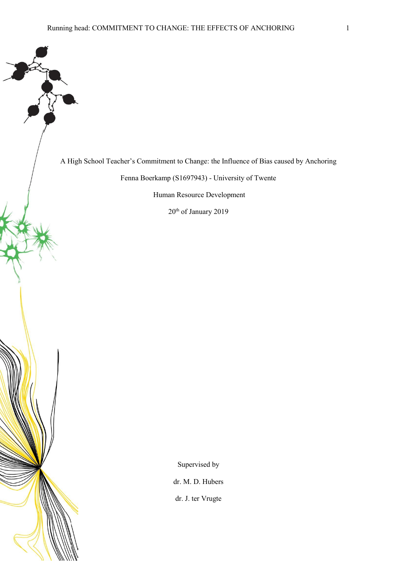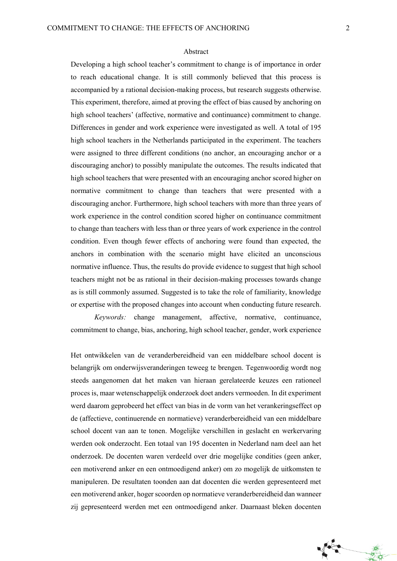#### Abstract

Developing a high school teacher's commitment to change is of importance in order to reach educational change. It is still commonly believed that this process is accompanied by a rational decision-making process, but research suggests otherwise. This experiment, therefore, aimed at proving the effect of bias caused by anchoring on high school teachers' (affective, normative and continuance) commitment to change. Differences in gender and work experience were investigated as well. A total of 195 high school teachers in the Netherlands participated in the experiment. The teachers were assigned to three different conditions (no anchor, an encouraging anchor or a discouraging anchor) to possibly manipulate the outcomes. The results indicated that high school teachers that were presented with an encouraging anchor scored higher on normative commitment to change than teachers that were presented with a discouraging anchor. Furthermore, high school teachers with more than three years of work experience in the control condition scored higher on continuance commitment to change than teachers with less than or three years of work experience in the control condition. Even though fewer effects of anchoring were found than expected, the anchors in combination with the scenario might have elicited an unconscious normative influence. Thus, the results do provide evidence to suggest that high school teachers might not be as rational in their decision-making processes towards change as is still commonly assumed. Suggested is to take the role of familiarity, knowledge or expertise with the proposed changes into account when conducting future research.

*Keywords:* change management, affective, normative, continuance, commitment to change, bias, anchoring, high school teacher, gender, work experience

Het ontwikkelen van de veranderbereidheid van een middelbare school docent is belangrijk om onderwijsveranderingen teweeg te brengen. Tegenwoordig wordt nog steeds aangenomen dat het maken van hieraan gerelateerde keuzes een rationeel proces is, maar wetenschappelijk onderzoek doet anders vermoeden. In dit experiment werd daarom geprobeerd het effect van bias in de vorm van het verankeringseffect op de (affectieve, continuerende en normatieve) veranderbereidheid van een middelbare school docent van aan te tonen. Mogelijke verschillen in geslacht en werkervaring werden ook onderzocht. Een totaal van 195 docenten in Nederland nam deel aan het onderzoek. De docenten waren verdeeld over drie mogelijke condities (geen anker, een motiverend anker en een ontmoedigend anker) om zo mogelijk de uitkomsten te manipuleren. De resultaten toonden aan dat docenten die werden gepresenteerd met een motiverend anker, hoger scoorden op normatieve veranderbereidheid dan wanneer zij gepresenteerd werden met een ontmoedigend anker. Daarnaast bleken docenten

Time

森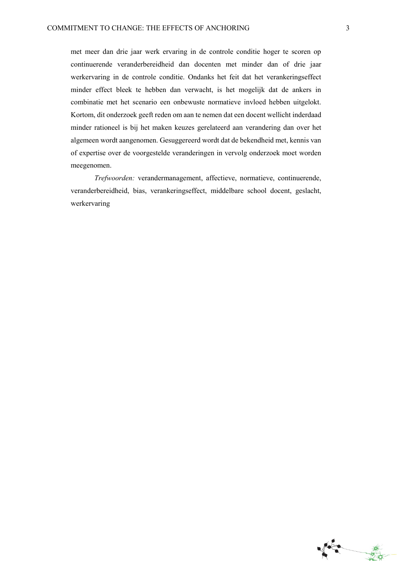met meer dan drie jaar werk ervaring in de controle conditie hoger te scoren op continuerende veranderbereidheid dan docenten met minder dan of drie jaar werkervaring in de controle conditie. Ondanks het feit dat het verankeringseffect minder effect bleek te hebben dan verwacht, is het mogelijk dat de ankers in combinatie met het scenario een onbewuste normatieve invloed hebben uitgelokt. Kortom, dit onderzoek geeft reden om aan te nemen dat een docent wellicht inderdaad minder rationeel is bij het maken keuzes gerelateerd aan verandering dan over het algemeen wordt aangenomen. Gesuggereerd wordt dat de bekendheid met, kennis van of expertise over de voorgestelde veranderingen in vervolg onderzoek moet worden meegenomen.

*Trefwoorden:* verandermanagement, affectieve, normatieve, continuerende, veranderbereidheid, bias, verankeringseffect, middelbare school docent, geslacht, werkervaring

**Second**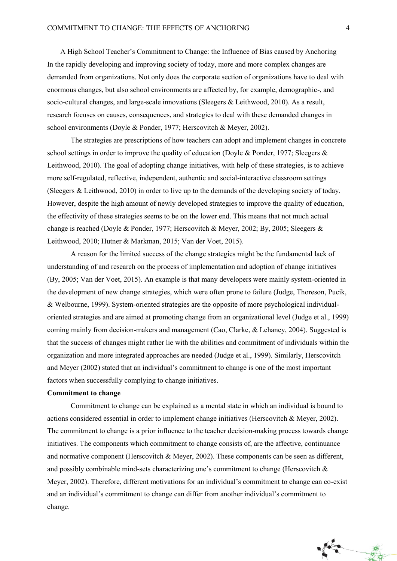A High School Teacher's Commitment to Change: the Influence of Bias caused by Anchoring In the rapidly developing and improving society of today, more and more complex changes are demanded from organizations. Not only does the corporate section of organizations have to deal with enormous changes, but also school environments are affected by, for example, demographic-, and socio-cultural changes, and large-scale innovations (Sleegers & Leithwood, 2010). As a result, research focuses on causes, consequences, and strategies to deal with these demanded changes in school environments (Doyle & Ponder, 1977; Herscovitch & Meyer, 2002).

The strategies are prescriptions of how teachers can adopt and implement changes in concrete school settings in order to improve the quality of education (Doyle & Ponder, 1977; Sleegers & Leithwood, 2010). The goal of adopting change initiatives, with help of these strategies, is to achieve more self-regulated, reflective, independent, authentic and social-interactive classroom settings (Sleegers & Leithwood, 2010) in order to live up to the demands of the developing society of today. However, despite the high amount of newly developed strategies to improve the quality of education, the effectivity of these strategies seems to be on the lower end. This means that not much actual change is reached (Doyle & Ponder, 1977; Herscovitch & Meyer, 2002; By, 2005; Sleegers & Leithwood, 2010; Hutner & Markman, 2015; Van der Voet, 2015).

A reason for the limited success of the change strategies might be the fundamental lack of understanding of and research on the process of implementation and adoption of change initiatives (By, 2005; Van der Voet, 2015). An example is that many developers were mainly system-oriented in the development of new change strategies, which were often prone to failure (Judge, Thoreson, Pucik, & Welbourne, 1999). System-oriented strategies are the opposite of more psychological individualoriented strategies and are aimed at promoting change from an organizational level (Judge et al., 1999) coming mainly from decision-makers and management (Cao, Clarke, & Lehaney, 2004). Suggested is that the success of changes might rather lie with the abilities and commitment of individuals within the organization and more integrated approaches are needed (Judge et al., 1999). Similarly, Herscovitch and Meyer (2002) stated that an individual's commitment to change is one of the most important factors when successfully complying to change initiatives.

### **Commitment to change**

Commitment to change can be explained as a mental state in which an individual is bound to actions considered essential in order to implement change initiatives (Herscovitch & Meyer, 2002). The commitment to change is a prior influence to the teacher decision-making process towards change initiatives. The components which commitment to change consists of, are the affective, continuance and normative component (Herscovitch & Meyer, 2002). These components can be seen as different, and possibly combinable mind-sets characterizing one's commitment to change (Herscovitch & Meyer, 2002). Therefore, different motivations for an individual's commitment to change can co-exist and an individual's commitment to change can differ from another individual's commitment to change.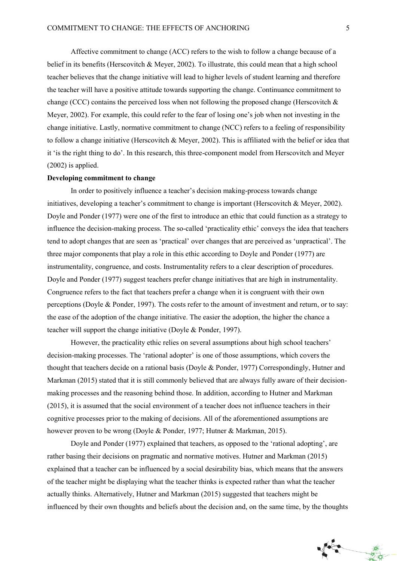Affective commitment to change (ACC) refers to the wish to follow a change because of a belief in its benefits (Herscovitch & Meyer, 2002). To illustrate, this could mean that a high school teacher believes that the change initiative will lead to higher levels of student learning and therefore the teacher will have a positive attitude towards supporting the change. Continuance commitment to change (CCC) contains the perceived loss when not following the proposed change (Herscovitch  $\&$ Meyer, 2002). For example, this could refer to the fear of losing one's job when not investing in the change initiative. Lastly, normative commitment to change (NCC) refers to a feeling of responsibility to follow a change initiative (Herscovitch & Meyer, 2002). This is affiliated with the belief or idea that it 'is the right thing to do'. In this research, this three-component model from Herscovitch and Meyer (2002) is applied.

#### **Developing commitment to change**

In order to positively influence a teacher's decision making-process towards change initiatives, developing a teacher's commitment to change is important (Herscovitch & Meyer, 2002). Doyle and Ponder (1977) were one of the first to introduce an ethic that could function as a strategy to influence the decision-making process. The so-called 'practicality ethic' conveys the idea that teachers tend to adopt changes that are seen as 'practical' over changes that are perceived as 'unpractical'. The three major components that play a role in this ethic according to Doyle and Ponder (1977) are instrumentality, congruence, and costs. Instrumentality refers to a clear description of procedures. Doyle and Ponder (1977) suggest teachers prefer change initiatives that are high in instrumentality. Congruence refers to the fact that teachers prefer a change when it is congruent with their own perceptions (Doyle & Ponder, 1997). The costs refer to the amount of investment and return, or to say: the ease of the adoption of the change initiative. The easier the adoption, the higher the chance a teacher will support the change initiative (Doyle & Ponder, 1997).

However, the practicality ethic relies on several assumptions about high school teachers' decision-making processes. The 'rational adopter' is one of those assumptions, which covers the thought that teachers decide on a rational basis (Doyle & Ponder, 1977) Correspondingly, Hutner and Markman (2015) stated that it is still commonly believed that are always fully aware of their decisionmaking processes and the reasoning behind those. In addition, according to Hutner and Markman (2015), it is assumed that the social environment of a teacher does not influence teachers in their cognitive processes prior to the making of decisions. All of the aforementioned assumptions are however proven to be wrong (Doyle & Ponder, 1977; Hutner & Markman, 2015).

Doyle and Ponder (1977) explained that teachers, as opposed to the 'rational adopting', are rather basing their decisions on pragmatic and normative motives. Hutner and Markman (2015) explained that a teacher can be influenced by a social desirability bias, which means that the answers of the teacher might be displaying what the teacher thinks is expected rather than what the teacher actually thinks. Alternatively, Hutner and Markman (2015) suggested that teachers might be influenced by their own thoughts and beliefs about the decision and, on the same time, by the thoughts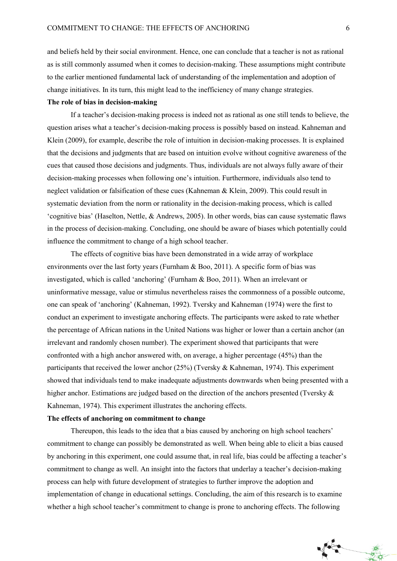and beliefs held by their social environment. Hence, one can conclude that a teacher is not as rational as is still commonly assumed when it comes to decision-making. These assumptions might contribute to the earlier mentioned fundamental lack of understanding of the implementation and adoption of change initiatives. In its turn, this might lead to the inefficiency of many change strategies.

#### **The role of bias in decision-making**

If a teacher's decision-making process is indeed not as rational as one still tends to believe, the question arises what a teacher's decision-making process is possibly based on instead. Kahneman and Klein (2009), for example, describe the role of intuition in decision-making processes. It is explained that the decisions and judgments that are based on intuition evolve without cognitive awareness of the cues that caused those decisions and judgments. Thus, individuals are not always fully aware of their decision-making processes when following one's intuition. Furthermore, individuals also tend to neglect validation or falsification of these cues (Kahneman & Klein, 2009). This could result in systematic deviation from the norm or rationality in the decision-making process, which is called 'cognitive bias' (Haselton, Nettle, & Andrews, 2005). In other words, bias can cause systematic flaws in the process of decision-making. Concluding, one should be aware of biases which potentially could influence the commitment to change of a high school teacher.

The effects of cognitive bias have been demonstrated in a wide array of workplace environments over the last forty years (Furnham & Boo, 2011). A specific form of bias was investigated, which is called 'anchoring' (Furnham & Boo, 2011). When an irrelevant or uninformative message, value or stimulus nevertheless raises the commonness of a possible outcome, one can speak of 'anchoring' (Kahneman, 1992). Tversky and Kahneman (1974) were the first to conduct an experiment to investigate anchoring effects. The participants were asked to rate whether the percentage of African nations in the United Nations was higher or lower than a certain anchor (an irrelevant and randomly chosen number). The experiment showed that participants that were confronted with a high anchor answered with, on average, a higher percentage (45%) than the participants that received the lower anchor (25%) (Tversky & Kahneman, 1974). This experiment showed that individuals tend to make inadequate adjustments downwards when being presented with a higher anchor. Estimations are judged based on the direction of the anchors presented (Tversky  $\&$ Kahneman, 1974). This experiment illustrates the anchoring effects.

#### **The effects of anchoring on commitment to change**

Thereupon, this leads to the idea that a bias caused by anchoring on high school teachers' commitment to change can possibly be demonstrated as well. When being able to elicit a bias caused by anchoring in this experiment, one could assume that, in real life, bias could be affecting a teacher's commitment to change as well. An insight into the factors that underlay a teacher's decision-making process can help with future development of strategies to further improve the adoption and implementation of change in educational settings. Concluding, the aim of this research is to examine whether a high school teacher's commitment to change is prone to anchoring effects. The following

美女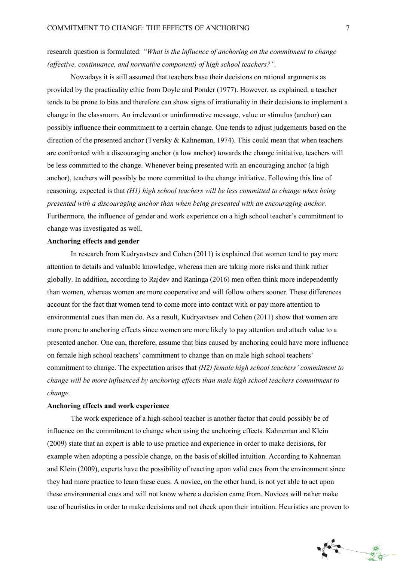research question is formulated: *"What is the influence of anchoring on the commitment to change (affective, continuance, and normative component) of high school teachers?".* 

Nowadays it is still assumed that teachers base their decisions on rational arguments as provided by the practicality ethic from Doyle and Ponder (1977). However, as explained, a teacher tends to be prone to bias and therefore can show signs of irrationality in their decisions to implement a change in the classroom. An irrelevant or uninformative message, value or stimulus (anchor) can possibly influence their commitment to a certain change. One tends to adjust judgements based on the direction of the presented anchor (Tversky & Kahneman, 1974). This could mean that when teachers are confronted with a discouraging anchor (a low anchor) towards the change initiative, teachers will be less committed to the change. Whenever being presented with an encouraging anchor (a high anchor), teachers will possibly be more committed to the change initiative. Following this line of reasoning, expected is that *(H1) high school teachers will be less committed to change when being presented with a discouraging anchor than when being presented with an encouraging anchor.* Furthermore, the influence of gender and work experience on a high school teacher's commitment to change was investigated as well.

#### **Anchoring effects and gender**

In research from Kudryavtsev and Cohen (2011) is explained that women tend to pay more attention to details and valuable knowledge, whereas men are taking more risks and think rather globally. In addition, according to Rajdev and Raninga (2016) men often think more independently than women, whereas women are more cooperative and will follow others sooner. These differences account for the fact that women tend to come more into contact with or pay more attention to environmental cues than men do. As a result, Kudryavtsev and Cohen (2011) show that women are more prone to anchoring effects since women are more likely to pay attention and attach value to a presented anchor. One can, therefore, assume that bias caused by anchoring could have more influence on female high school teachers' commitment to change than on male high school teachers' commitment to change. The expectation arises that *(H2) female high school teachers' commitment to change will be more influenced by anchoring effects than male high school teachers commitment to change.* 

#### **Anchoring effects and work experience**

The work experience of a high-school teacher is another factor that could possibly be of influence on the commitment to change when using the anchoring effects. Kahneman and Klein (2009) state that an expert is able to use practice and experience in order to make decisions, for example when adopting a possible change, on the basis of skilled intuition. According to Kahneman and Klein (2009), experts have the possibility of reacting upon valid cues from the environment since they had more practice to learn these cues. A novice, on the other hand, is not yet able to act upon these environmental cues and will not know where a decision came from. Novices will rather make use of heuristics in order to make decisions and not check upon their intuition. Heuristics are proven to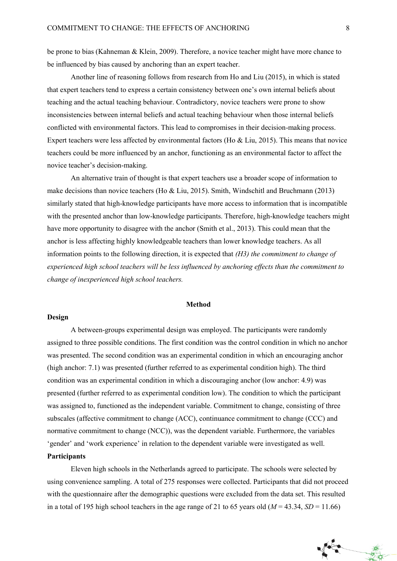be prone to bias (Kahneman & Klein, 2009). Therefore, a novice teacher might have more chance to be influenced by bias caused by anchoring than an expert teacher.

Another line of reasoning follows from research from Ho and Liu (2015), in which is stated that expert teachers tend to express a certain consistency between one's own internal beliefs about teaching and the actual teaching behaviour. Contradictory, novice teachers were prone to show inconsistencies between internal beliefs and actual teaching behaviour when those internal beliefs conflicted with environmental factors. This lead to compromises in their decision-making process. Expert teachers were less affected by environmental factors (Ho & Liu, 2015). This means that novice teachers could be more influenced by an anchor, functioning as an environmental factor to affect the novice teacher's decision-making.

An alternative train of thought is that expert teachers use a broader scope of information to make decisions than novice teachers (Ho & Liu, 2015). Smith, Windschitl and Bruchmann (2013) similarly stated that high-knowledge participants have more access to information that is incompatible with the presented anchor than low-knowledge participants. Therefore, high-knowledge teachers might have more opportunity to disagree with the anchor (Smith et al., 2013). This could mean that the anchor is less affecting highly knowledgeable teachers than lower knowledge teachers. As all information points to the following direction, it is expected that *(H3) the commitment to change of experienced high school teachers will be less influenced by anchoring effects than the commitment to change of inexperienced high school teachers.* 

#### **Method**

## **Design**

A between-groups experimental design was employed. The participants were randomly assigned to three possible conditions. The first condition was the control condition in which no anchor was presented. The second condition was an experimental condition in which an encouraging anchor (high anchor: 7.1) was presented (further referred to as experimental condition high). The third condition was an experimental condition in which a discouraging anchor (low anchor: 4.9) was presented (further referred to as experimental condition low). The condition to which the participant was assigned to, functioned as the independent variable. Commitment to change, consisting of three subscales (affective commitment to change (ACC), continuance commitment to change (CCC) and normative commitment to change (NCC)), was the dependent variable. Furthermore, the variables 'gender' and 'work experience' in relation to the dependent variable were investigated as well.

## **Participants**

Eleven high schools in the Netherlands agreed to participate. The schools were selected by using convenience sampling. A total of 275 responses were collected. Participants that did not proceed with the questionnaire after the demographic questions were excluded from the data set. This resulted in a total of 195 high school teachers in the age range of 21 to 65 years old  $(M = 43.34, SD = 11.66)$ 

 $\mathbf{r}$ 

義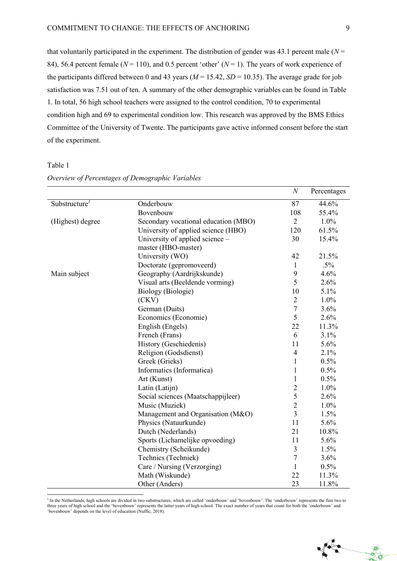that voluntarily participated in the experiment. The distribution of gender was 43.1 percent male  $(N =$ 84), 56.4 percent female ( $N = 110$ ), and 0.5 percent 'other' ( $N = 1$ ). The years of work experience of the participants differed between 0 and 43 years  $(M = 15.42, SD = 10.35)$ . The average grade for job satisfaction was 7.51 out of ten. A summary of the other demographic variables can be found in Table 1. In total, 56 high school teachers were assigned to the control condition, 70 to experimental condition high and 69 to experimental condition low. This research was approved by the BMS Ethics Committee of the University of Twente. The participants gave active informed consent before the start of the experiment.

Table 1

-

|                                        |                                      | $\boldsymbol{N}$ | Percentages |
|----------------------------------------|--------------------------------------|------------------|-------------|
| Substructure <sup><math>l</math></sup> | Onderbouw                            | $\overline{87}$  | 44.6%       |
|                                        | Bovenbouw                            | 108              | 55.4%       |
| (Highest) degree                       | Secondary vocational education (MBO) | $\overline{2}$   | 1.0%        |
|                                        | University of applied science (HBO)  | 120              | 61.5%       |
|                                        | University of applied science -      | 30               | 15.4%       |
|                                        | master (HBO-master)                  |                  |             |
|                                        | University (WO)                      | 42               | 21.5%       |
|                                        | Doctorate (gepromoveerd)             | $\mathbf{1}$     | $.5\%$      |
| Main subject                           | Geography (Aardrijkskunde)           | 9                | 4.6%        |
|                                        | Visual arts (Beeldende vorming)      | 5                | 2.6%        |
|                                        | <b>Biology</b> (Biologie)            | 10               | 5.1%        |
|                                        | (CKV)                                | $\overline{2}$   | 1.0%        |
|                                        | German (Duits)                       | $\boldsymbol{7}$ | 3.6%        |
|                                        | Economics (Economie)                 | 5                | 2.6%        |
|                                        | English (Engels)                     | 22               | 11.3%       |
|                                        | French (Frans)                       | 6                | 3.1%        |
|                                        | History (Geschiedenis)               | 11               | 5.6%        |
|                                        | Religion (Godsdienst)                | $\overline{4}$   | 2.1%        |
|                                        | Greek (Grieks)                       | $\mathbf{1}$     | 0.5%        |
|                                        | Informatics (Informatica)            | $\mathbf{1}$     | 0.5%        |
|                                        | Art (Kunst)                          | $\mathbf{1}$     | 0.5%        |
|                                        | Latin (Latijn)                       | $\overline{2}$   | 1.0%        |
|                                        | Social sciences (Maatschappijleer)   | 5                | 2.6%        |
|                                        | Music (Muziek)                       | $\overline{2}$   | 1.0%        |
|                                        | Management and Organisation (M&O)    | $\overline{3}$   | 1.5%        |
|                                        | Physics (Natuurkunde)                | 11               | 5.6%        |
|                                        | Dutch (Nederlands)                   | 21               | 10.8%       |
|                                        | Sports (Lichamelijke opvoeding)      | 11               | 5.6%        |
|                                        | Chemistry (Scheikunde)               | $\overline{3}$   | 1.5%        |
|                                        | Technics (Techniek)                  | $\tau$           | 3.6%        |
|                                        | Care / Nursing (Verzorging)          | $\mathbf{1}$     | 0.5%        |
|                                        | Math (Wiskunde)                      | 22               | 11.3%       |
|                                        | Other (Anders)                       | 23               | 11.8%       |

*Overview of Percentages of Demographic Variables*

**Second** 

美

<sup>&</sup>lt;sup>1</sup> In the Netherlands, high schools are divided in two substructures, which are called 'onderbouw' and 'bovenbouw'. The 'onderbouw' represents the first two to three years of high school and the 'bovenbouw' represents the latter years of high school. The exact number of years that count for both the 'onderbouw' and 'bovenbouw' depends on the level of education (Nuffic, 2018).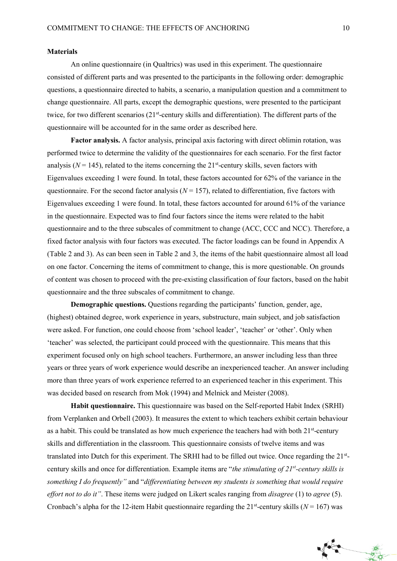#### **Materials**

An online questionnaire (in Qualtrics) was used in this experiment. The questionnaire consisted of different parts and was presented to the participants in the following order: demographic questions, a questionnaire directed to habits, a scenario, a manipulation question and a commitment to change questionnaire. All parts, except the demographic questions, were presented to the participant twice, for two different scenarios (21<sup>st</sup>-century skills and differentiation). The different parts of the questionnaire will be accounted for in the same order as described here.

**Factor analysis.** A factor analysis, principal axis factoring with direct oblimin rotation, was performed twice to determine the validity of the questionnaires for each scenario. For the first factor analysis ( $N = 145$ ), related to the items concerning the 21<sup>st</sup>-century skills, seven factors with Eigenvalues exceeding 1 were found. In total, these factors accounted for 62% of the variance in the questionnaire. For the second factor analysis  $(N = 157)$ , related to differentiation, five factors with Eigenvalues exceeding 1 were found. In total, these factors accounted for around 61% of the variance in the questionnaire. Expected was to find four factors since the items were related to the habit questionnaire and to the three subscales of commitment to change (ACC, CCC and NCC). Therefore, a fixed factor analysis with four factors was executed. The factor loadings can be found in Appendix A (Table 2 and 3). As can been seen in Table 2 and 3, the items of the habit questionnaire almost all load on one factor. Concerning the items of commitment to change, this is more questionable. On grounds of content was chosen to proceed with the pre-existing classification of four factors, based on the habit questionnaire and the three subscales of commitment to change.

**Demographic questions.** Questions regarding the participants' function, gender, age, (highest) obtained degree, work experience in years, substructure, main subject, and job satisfaction were asked. For function, one could choose from 'school leader', 'teacher' or 'other'. Only when 'teacher' was selected, the participant could proceed with the questionnaire. This means that this experiment focused only on high school teachers. Furthermore, an answer including less than three years or three years of work experience would describe an inexperienced teacher. An answer including more than three years of work experience referred to an experienced teacher in this experiment. This was decided based on research from Mok (1994) and Melnick and Meister (2008).

**Habit questionnaire.** This questionnaire was based on the Self-reported Habit Index (SRHI) from Verplanken and Orbell (2003). It measures the extent to which teachers exhibit certain behaviour as a habit. This could be translated as how much experience the teachers had with both 21<sup>st</sup>-century skills and differentiation in the classroom. This questionnaire consists of twelve items and was translated into Dutch for this experiment. The SRHI had to be filled out twice. Once regarding the 21<sup>st</sup>century skills and once for differentiation. Example items are "*the stimulating of 21st -century skills is something I do frequently"* and "*differentiating between my students is something that would require effort not to do it"*. These items were judged on Likert scales ranging from *disagree* (1) to *agree* (5). Cronbach's alpha for the 12-item Habit questionnaire regarding the  $21<sup>st</sup>$ -century skills ( $N = 167$ ) was

美女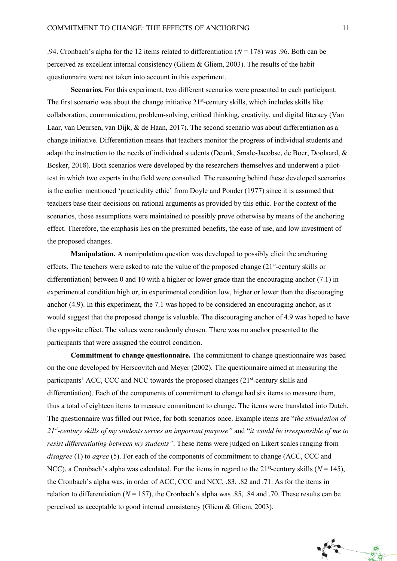.94. Cronbach's alpha for the 12 items related to differentiation (*N* = 178) was .96. Both can be perceived as excellent internal consistency (Gliem & Gliem, 2003). The results of the habit questionnaire were not taken into account in this experiment.

**Scenarios.** For this experiment, two different scenarios were presented to each participant. The first scenario was about the change initiative 21<sup>st</sup>-century skills, which includes skills like collaboration, communication, problem-solving, critical thinking, creativity, and digital literacy (Van Laar, van Deursen, van Dijk, & de Haan, 2017). The second scenario was about differentiation as a change initiative. Differentiation means that teachers monitor the progress of individual students and adapt the instruction to the needs of individual students (Deunk, Smale-Jacobse, de Boer, Doolaard, & Bosker, 2018). Both scenarios were developed by the researchers themselves and underwent a pilottest in which two experts in the field were consulted. The reasoning behind these developed scenarios is the earlier mentioned 'practicality ethic' from Doyle and Ponder (1977) since it is assumed that teachers base their decisions on rational arguments as provided by this ethic. For the context of the scenarios, those assumptions were maintained to possibly prove otherwise by means of the anchoring effect. Therefore, the emphasis lies on the presumed benefits, the ease of use, and low investment of the proposed changes.

**Manipulation.** A manipulation question was developed to possibly elicit the anchoring effects. The teachers were asked to rate the value of the proposed change (21<sup>st</sup>-century skills or differentiation) between 0 and 10 with a higher or lower grade than the encouraging anchor (7.1) in experimental condition high or, in experimental condition low, higher or lower than the discouraging anchor (4.9). In this experiment, the 7.1 was hoped to be considered an encouraging anchor, as it would suggest that the proposed change is valuable. The discouraging anchor of 4.9 was hoped to have the opposite effect. The values were randomly chosen. There was no anchor presented to the participants that were assigned the control condition.

**Commitment to change questionnaire.** The commitment to change questionnaire was based on the one developed by Herscovitch and Meyer (2002). The questionnaire aimed at measuring the participants' ACC, CCC and NCC towards the proposed changes (21<sup>st</sup>-century skills and differentiation). Each of the components of commitment to change had six items to measure them, thus a total of eighteen items to measure commitment to change. The items were translated into Dutch. The questionnaire was filled out twice, for both scenarios once. Example items are "*the stimulation of 21st -century skills of my students serves an important purpose"* and "*it would be irresponsible of me to resist differentiating between my students"*. These items were judged on Likert scales ranging from *disagree* (1) to *agree* (5). For each of the components of commitment to change (ACC, CCC and NCC), a Cronbach's alpha was calculated. For the items in regard to the  $21<sup>st</sup>$ -century skills ( $N = 145$ ), the Cronbach's alpha was, in order of ACC, CCC and NCC, .83, .82 and .71. As for the items in relation to differentiation ( $N = 157$ ), the Cronbach's alpha was .85, .84 and .70. These results can be perceived as acceptable to good internal consistency (Gliem & Gliem, 2003).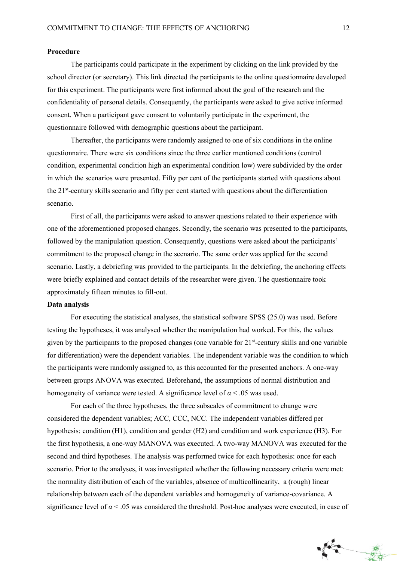#### **Procedure**

The participants could participate in the experiment by clicking on the link provided by the school director (or secretary). This link directed the participants to the online questionnaire developed for this experiment. The participants were first informed about the goal of the research and the confidentiality of personal details. Consequently, the participants were asked to give active informed consent. When a participant gave consent to voluntarily participate in the experiment, the questionnaire followed with demographic questions about the participant.

Thereafter, the participants were randomly assigned to one of six conditions in the online questionnaire. There were six conditions since the three earlier mentioned conditions (control condition, experimental condition high an experimental condition low) were subdivided by the order in which the scenarios were presented. Fifty per cent of the participants started with questions about the 21<sup>st</sup>-century skills scenario and fifty per cent started with questions about the differentiation scenario.

First of all, the participants were asked to answer questions related to their experience with one of the aforementioned proposed changes. Secondly, the scenario was presented to the participants, followed by the manipulation question. Consequently, questions were asked about the participants' commitment to the proposed change in the scenario. The same order was applied for the second scenario. Lastly, a debriefing was provided to the participants. In the debriefing, the anchoring effects were briefly explained and contact details of the researcher were given. The questionnaire took approximately fifteen minutes to fill-out.

## **Data analysis**

For executing the statistical analyses, the statistical software SPSS (25.0) was used. Before testing the hypotheses, it was analysed whether the manipulation had worked. For this, the values given by the participants to the proposed changes (one variable for  $21<sup>st</sup>$ -century skills and one variable for differentiation) were the dependent variables. The independent variable was the condition to which the participants were randomly assigned to, as this accounted for the presented anchors. A one-way between groups ANOVA was executed. Beforehand, the assumptions of normal distribution and homogeneity of variance were tested. A significance level of  $\alpha$  < .05 was used.

For each of the three hypotheses, the three subscales of commitment to change were considered the dependent variables; ACC, CCC, NCC. The independent variables differed per hypothesis: condition (H1), condition and gender (H2) and condition and work experience (H3). For the first hypothesis, a one-way MANOVA was executed. A two-way MANOVA was executed for the second and third hypotheses. The analysis was performed twice for each hypothesis: once for each scenario. Prior to the analyses, it was investigated whether the following necessary criteria were met: the normality distribution of each of the variables, absence of multicollinearity, a (rough) linear relationship between each of the dependent variables and homogeneity of variance-covariance. A significance level of  $\alpha$  < .05 was considered the threshold. Post-hoc analyses were executed, in case of

義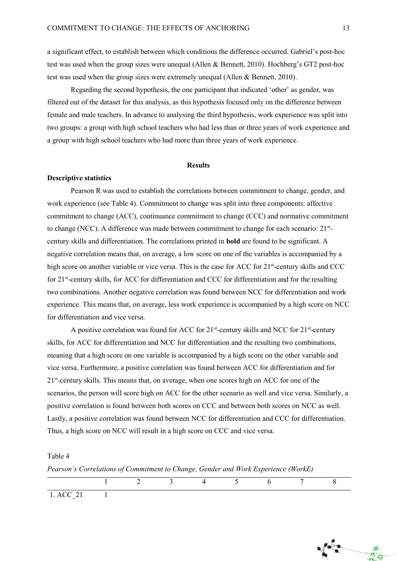a significant effect, to establish between which conditions the difference occurred. Gabriel's post-hoc test was used when the group sizes were unequal (Allen & Bennett, 2010). Hochberg's GT2 post-hoc test was used when the group sizes were extremely unequal (Allen & Bennett, 2010).

Regarding the second hypothesis, the one participant that indicated 'other' as gender, was filtered out of the dataset for this analysis, as this hypothesis focused only on the difference between female and male teachers. In advance to analysing the third hypothesis, work experience was split into two groups: a group with high school teachers who had less than or three years of work experience and a group with high school teachers who had more than three years of work experience.

#### **Results**

#### **Descriptive statistics**

Pearson R was used to establish the correlations between commitment to change, gender, and work experience (see Table 4). Commitment to change was split into three components: affective commitment to change (ACC), continuance commitment to change (CCC) and normative commitment to change (NCC). A difference was made between commitment to change for each scenario: 21<sup>st</sup>century skills and differentiation. The correlations printed in **bold** are found to be significant. A negative correlation means that, on average, a low score on one of the variables is accompanied by a high score on another variable or vice versa. This is the case for ACC for 21<sup>st</sup>-century skills and CCC for 21st -century skills, for ACC for differentiation and CCC for differentiation and for the resulting two combinations. Another negative correlation was found between NCC for differentiation and work experience. This means that, on average, less work experience is accompanied by a high score on NCC for differentiation and vice versa.

A positive correlation was found for ACC for  $21^{st}$ -century skills and NCC for  $21^{st}$ -century skills, for ACC for differentiation and NCC for differentiation and the resulting two combinations, meaning that a high score on one variable is accompanied by a high score on the other variable and vice versa. Furthermore, a positive correlation was found between ACC for differentiation and for 21<sup>st</sup>-century skills. This means that, on average, when one scores high on ACC for one of the scenarios, the person will score high on ACC for the other scenario as well and vice versa. Similarly, a positive correlation is found between both scores on CCC and between both scores on NCC as well. Lastly, a positive correlation was found between NCC for differentiation and CCC for differentiation. Thus, a high score on NCC will result in a high score on CCC and vice versa.

#### Table 4

*Pearson's Correlations of Commitment to Change, Gender and Work Experience (WorkE)*

|            |  | 4 5 6 7 |  |  |
|------------|--|---------|--|--|
| $1$ ACC 21 |  |         |  |  |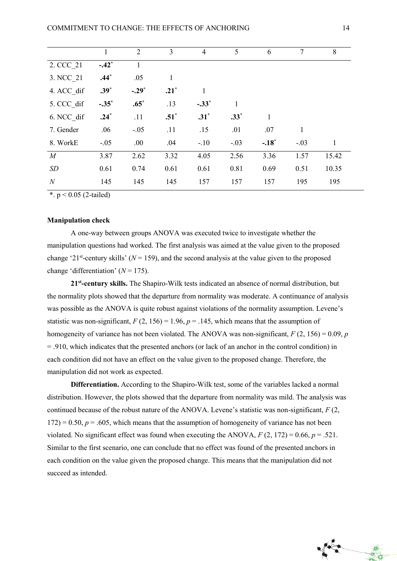|                  | 1       | $\overline{2}$ | 3       | $\overline{4}$ | 5      | 6       | $\overline{7}$ | 8     |
|------------------|---------|----------------|---------|----------------|--------|---------|----------------|-------|
| 2. CCC 21        | $-.42*$ | $\mathbf{1}$   |         |                |        |         |                |       |
| 3. NCC 21        | $.44*$  | .05            | 1       |                |        |         |                |       |
| 4. ACC dif       | $.39*$  | $-.29*$        | $.21^*$ |                |        |         |                |       |
| 5. CCC dif       | $-.35*$ | $.65^*$        | .13     | $-.33*$        |        |         |                |       |
| 6. NCC dif       | $.24*$  | .11            | $.51^*$ | $.31^*$        | $.33*$ | 1       |                |       |
| 7. Gender        | .06     | $-.05$         | .11     | .15            | .01    | .07     | 1              |       |
| 8. WorkE         | $-.05$  | .00            | .04     | $-.10$         | $-.03$ | $-.18*$ | $-.03$         | 1     |
| M                | 3.87    | 2.62           | 3.32    | 4.05           | 2.56   | 3.36    | 1.57           | 15.42 |
| SD               | 0.61    | 0.74           | 0.61    | 0.61           | 0.81   | 0.69    | 0.51           | 10.35 |
| $\boldsymbol{N}$ | 145     | 145            | 145     | 157            | 157    | 157     | 195            | 195   |

\*.  $p < 0.05$  (2-tailed)

#### **Manipulation check**

A one-way between groups ANOVA was executed twice to investigate whether the manipulation questions had worked. The first analysis was aimed at the value given to the proposed change '21<sup>st</sup>-century skills' ( $N = 159$ ), and the second analysis at the value given to the proposed change 'differentiation'  $(N = 175)$ .

**21st -century skills.** The Shapiro-Wilk tests indicated an absence of normal distribution, but the normality plots showed that the departure from normality was moderate. A continuance of analysis was possible as the ANOVA is quite robust against violations of the normality assumption. Levene's statistic was non-significant,  $F(2, 156) = 1.96$ ,  $p = .145$ , which means that the assumption of homogeneity of variance has not been violated. The ANOVA was non-significant,  $F(2, 156) = 0.09$ , *p* = .910, which indicates that the presented anchors (or lack of an anchor in the control condition) in each condition did not have an effect on the value given to the proposed change. Therefore, the manipulation did not work as expected.

**Differentiation.** According to the Shapiro-Wilk test, some of the variables lacked a normal distribution. However, the plots showed that the departure from normality was mild. The analysis was continued because of the robust nature of the ANOVA. Levene's statistic was non-significant,  $F(2, \mathbf{r})$  $172$ ) = 0.50,  $p = 0.605$ , which means that the assumption of homogeneity of variance has not been violated. No significant effect was found when executing the ANOVA,  $F(2, 172) = 0.66$ ,  $p = .521$ . Similar to the first scenario, one can conclude that no effect was found of the presented anchors in each condition on the value given the proposed change. This means that the manipulation did not succeed as intended.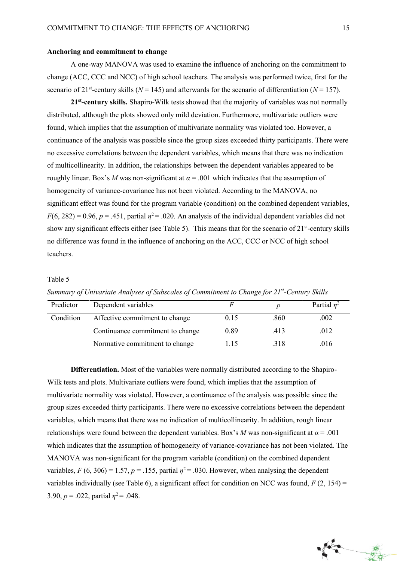#### **Anchoring and commitment to change**

A one-way MANOVA was used to examine the influence of anchoring on the commitment to change (ACC, CCC and NCC) of high school teachers. The analysis was performed twice, first for the scenario of 21<sup>st</sup>-century skills ( $N = 145$ ) and afterwards for the scenario of differentiation ( $N = 157$ ).

**21st -century skills.** Shapiro-Wilk tests showed that the majority of variables was not normally distributed, although the plots showed only mild deviation. Furthermore, multivariate outliers were found, which implies that the assumption of multivariate normality was violated too. However, a continuance of the analysis was possible since the group sizes exceeded thirty participants. There were no excessive correlations between the dependent variables, which means that there was no indication of multicollinearity. In addition, the relationships between the dependent variables appeared to be roughly linear. Box's *M* was non-significant at  $\alpha$  = .001 which indicates that the assumption of homogeneity of variance-covariance has not been violated. According to the MANOVA, no significant effect was found for the program variable (condition) on the combined dependent variables,  $F(6, 282) = 0.96$ ,  $p = .451$ , partial  $\eta^2 = .020$ . An analysis of the individual dependent variables did not show any significant effects either (see Table 5). This means that for the scenario of 21<sup>st</sup>-century skills no difference was found in the influence of anchoring on the ACC, CCC or NCC of high school teachers.

#### Table 5

| Predictor | Dependent variables              |      |      | Partial $n^2$ |
|-----------|----------------------------------|------|------|---------------|
| Condition | Affective commitment to change   | 0.15 | .860 | .002          |
|           | Continuance commitment to change | 0.89 | .413 | .012          |
|           | Normative commitment to change   | 1.15 | .318 | .016          |

*Summary of Univariate Analyses of Subscales of Commitment to Change for 21st -Century Skills*

**Differentiation.** Most of the variables were normally distributed according to the Shapiro-Wilk tests and plots. Multivariate outliers were found, which implies that the assumption of multivariate normality was violated. However, a continuance of the analysis was possible since the group sizes exceeded thirty participants. There were no excessive correlations between the dependent variables, which means that there was no indication of multicollinearity. In addition, rough linear relationships were found between the dependent variables. Box's *M* was non-significant at  $\alpha = .001$ which indicates that the assumption of homogeneity of variance-covariance has not been violated. The MANOVA was non-significant for the program variable (condition) on the combined dependent variables,  $F(6, 306) = 1.57$ ,  $p = .155$ , partial  $\eta^2 = .030$ . However, when analysing the dependent variables individually (see Table 6), a significant effect for condition on NCC was found,  $F(2, 154)$  = 3.90,  $p = 0.022$ , partial  $\eta^2 = 0.048$ .

義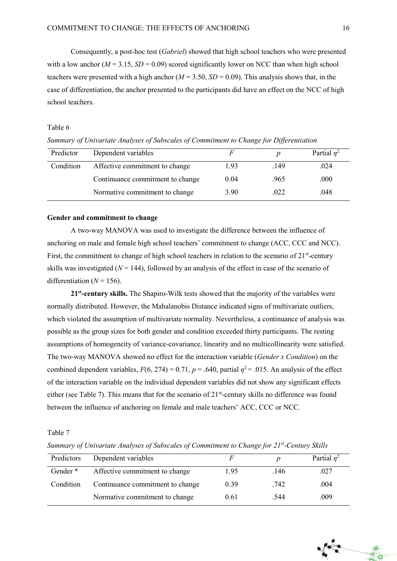Consequently, a post-hoc test (*Gabriel*) showed that high school teachers who were presented with a low anchor ( $M = 3.15$ ,  $SD = 0.09$ ) scored significantly lower on NCC than when high school teachers were presented with a high anchor  $(M = 3.50, SD = 0.09)$ . This analysis shows that, in the case of differentiation, the anchor presented to the participants did have an effect on the NCC of high school teachers.

#### Table 6

Predictor Dependent variables *F p* Partial  $n^2$ Condition Affective commitment to change 1.93 .149 .024 Continuance commitment to change  $0.04$  .965 .000 Normative commitment to change  $3.90$  .022 .048

*Summary of Univariate Analyses of Subscales of Commitment to Change for Differentiation* 

#### **Gender and commitment to change**

A two-way MANOVA was used to investigate the difference between the influence of anchoring on male and female high school teachers' commitment to change (ACC, CCC and NCC). First, the commitment to change of high school teachers in relation to the scenario of 21<sup>st</sup>-century skills was investigated  $(N = 144)$ , followed by an analysis of the effect in case of the scenario of differentiation  $(N = 156)$ .

**21st -century skills.** The Shapiro-Wilk tests showed that the majority of the variables were normally distributed. However, the Mahalanobis Distance indicated signs of multivariate outliers, which violated the assumption of multivariate normality. Nevertheless, a continuance of analysis was possible as the group sizes for both gender and condition exceeded thirty participants. The resting assumptions of homogeneity of variance-covariance, linearity and no multicollinearity were satisfied. The two-way MANOVA showed no effect for the interaction variable (*Gender x Condition*) on the combined dependent variables,  $F(6, 274) = 0.71$ ,  $p = .640$ , partial  $\eta^2 = .015$ . An analysis of the effect of the interaction variable on the individual dependent variables did not show any significant effects either (see Table 7). This means that for the scenario of  $21<sup>st</sup>$ -century skills no difference was found between the influence of anchoring on female and male teachers' ACC, CCC or NCC.

Table 7

*Summary of Univariate Analyses of Subscales of Commitment to Change for 21st -Century Skills*

| Predictors          | Dependent variables              |      |      | Partial $n^2$ |
|---------------------|----------------------------------|------|------|---------------|
| Gender <sup>*</sup> | Affective commitment to change   | 1.95 | .146 | .027          |
| Condition           | Continuance commitment to change | 0.39 | .742 | .004          |
|                     | Normative commitment to change   | 0.61 | .544 | .009          |

数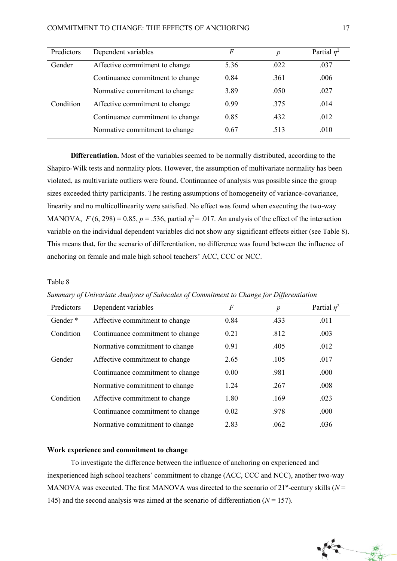| Predictors | Dependent variables              | F    | $\boldsymbol{p}$ | Partial $\eta^2$ |
|------------|----------------------------------|------|------------------|------------------|
| Gender     | Affective commitment to change   | 5.36 | .022             | .037             |
|            | Continuance commitment to change | 0.84 | .361             | .006             |
|            | Normative commitment to change   | 3.89 | .050             | .027             |
| Condition  | Affective commitment to change   | 0.99 | .375             | .014             |
|            | Continuance commitment to change | 0.85 | .432             | .012             |
|            | Normative commitment to change   | 0.67 | .513             | .010             |

**Differentiation.** Most of the variables seemed to be normally distributed, according to the Shapiro-Wilk tests and normality plots. However, the assumption of multivariate normality has been violated, as multivariate outliers were found. Continuance of analysis was possible since the group sizes exceeded thirty participants. The resting assumptions of homogeneity of variance-covariance, linearity and no multicollinearity were satisfied. No effect was found when executing the two-way MANOVA,  $F(6, 298) = 0.85$ ,  $p = .536$ , partial  $\eta^2 = .017$ . An analysis of the effect of the interaction variable on the individual dependent variables did not show any significant effects either (see Table 8). This means that, for the scenario of differentiation, no difference was found between the influence of anchoring on female and male high school teachers' ACC, CCC or NCC.

#### Table 8

| Predictors          | Dependent variables              | F    | $\boldsymbol{p}$ | Partial $\eta^2$ |
|---------------------|----------------------------------|------|------------------|------------------|
| Gender <sup>*</sup> | Affective commitment to change   | 0.84 | .433             | .011             |
| Condition           | Continuance commitment to change | 0.21 | .812             | .003             |
|                     | Normative commitment to change   | 0.91 | .405             | .012             |
| Gender              | Affective commitment to change   | 2.65 | .105             | .017             |
|                     | Continuance commitment to change | 0.00 | .981             | .000             |
|                     | Normative commitment to change   | 1.24 | .267             | .008             |
| Condition           | Affective commitment to change   | 1.80 | .169             | .023             |
|                     | Continuance commitment to change | 0.02 | .978             | .000             |
|                     | Normative commitment to change   | 2.83 | .062             | .036             |

### *Summary of Univariate Analyses of Subscales of Commitment to Change for Differentiation*

## **Work experience and commitment to change**

To investigate the difference between the influence of anchoring on experienced and inexperienced high school teachers' commitment to change (ACC, CCC and NCC), another two-way MANOVA was executed. The first MANOVA was directed to the scenario of  $21<sup>st</sup>$ -century skills ( $N =$ 145) and the second analysis was aimed at the scenario of differentiation  $(N = 157)$ .

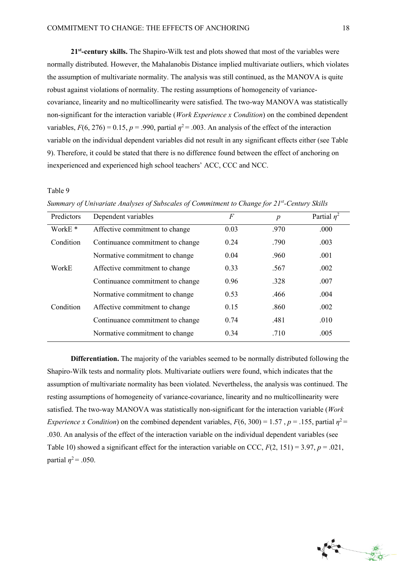**21st -century skills.** The Shapiro-Wilk test and plots showed that most of the variables were normally distributed. However, the Mahalanobis Distance implied multivariate outliers, which violates the assumption of multivariate normality. The analysis was still continued, as the MANOVA is quite robust against violations of normality. The resting assumptions of homogeneity of variancecovariance, linearity and no multicollinearity were satisfied. The two-way MANOVA was statistically non-significant for the interaction variable (*Work Experience x Condition*) on the combined dependent variables,  $F(6, 276) = 0.15$ ,  $p = .990$ , partial  $\eta^2 = .003$ . An analysis of the effect of the interaction variable on the individual dependent variables did not result in any significant effects either (see Table 9). Therefore, it could be stated that there is no difference found between the effect of anchoring on inexperienced and experienced high school teachers' ACC, CCC and NCC.

#### Table 9

| Predictors         | Dependent variables              | F    | $\boldsymbol{p}$ | Partial $\eta^2$ |
|--------------------|----------------------------------|------|------------------|------------------|
| WorkE <sup>*</sup> | Affective commitment to change   | 0.03 | .970             | .000             |
| Condition          | Continuance commitment to change | 0.24 | .790             | .003             |
|                    | Normative commitment to change   | 0.04 | .960             | .001             |
| WorkE              | Affective commitment to change   | 0.33 | .567             | .002             |
|                    | Continuance commitment to change | 0.96 | .328             | .007             |
|                    | Normative commitment to change   | 0.53 | .466             | .004             |
| Condition          | Affective commitment to change   | 0.15 | .860             | .002             |
|                    | Continuance commitment to change | 0.74 | .481             | .010             |
|                    | Normative commitment to change   | 0.34 | .710             | .005             |

*Summary of Univariate Analyses of Subscales of Commitment to Change for 21st -Century Skills*

**Differentiation.** The majority of the variables seemed to be normally distributed following the Shapiro-Wilk tests and normality plots. Multivariate outliers were found, which indicates that the assumption of multivariate normality has been violated. Nevertheless, the analysis was continued. The resting assumptions of homogeneity of variance-covariance, linearity and no multicollinearity were satisfied. The two-way MANOVA was statistically non-significant for the interaction variable (*Work Experience x Condition*) on the combined dependent variables,  $F(6, 300) = 1.57$ ,  $p = .155$ , partial  $\eta^2 =$ .030. An analysis of the effect of the interaction variable on the individual dependent variables (see Table 10) showed a significant effect for the interaction variable on CCC,  $F(2, 151) = 3.97$ ,  $p = .021$ , partial  $\eta^2$  = .050.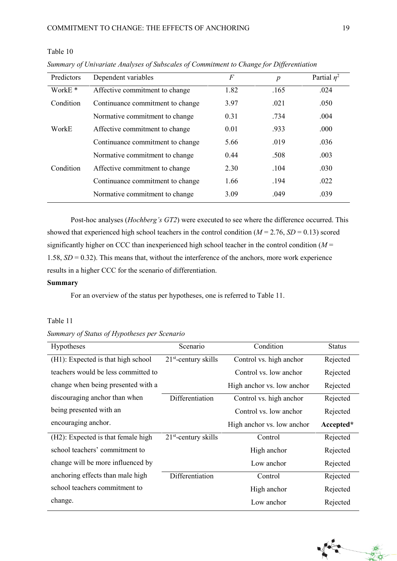## Table 10

| Predictors         | Dependent variables              | F    | $\boldsymbol{p}$ | Partial $\eta^2$ |
|--------------------|----------------------------------|------|------------------|------------------|
| WorkE <sup>*</sup> | Affective commitment to change   | 1.82 | .165             | .024             |
| Condition          | Continuance commitment to change | 3.97 | .021             | .050             |
|                    | Normative commitment to change   | 0.31 | .734             | .004             |
| WorkE              | Affective commitment to change   | 0.01 | .933             | .000             |
|                    | Continuance commitment to change | 5.66 | .019             | .036             |
|                    | Normative commitment to change   | 0.44 | .508             | .003             |
| Condition          | Affective commitment to change   | 2.30 | .104             | .030             |
|                    | Continuance commitment to change | 1.66 | .194             | .022             |
|                    | Normative commitment to change   | 3.09 | .049             | .039             |

*Summary of Univariate Analyses of Subscales of Commitment to Change for Differentiation*

Post-hoc analyses (*Hochberg's GT2*) were executed to see where the difference occurred. This showed that experienced high school teachers in the control condition  $(M = 2.76, SD = 0.13)$  scored significantly higher on CCC than inexperienced high school teacher in the control condition (*M* = 1.58, *SD* = 0.32). This means that, without the interference of the anchors, more work experience results in a higher CCC for the scenario of differentiation.

### **Summary**

For an overview of the status per hypotheses, one is referred to Table 11.

## Table 11

## *Summary of Status of Hypotheses per Scenario*

| <b>Hypotheses</b>                   | Scenario               | Condition                  | <b>Status</b> |
|-------------------------------------|------------------------|----------------------------|---------------|
| (H1): Expected is that high school  | $21st$ -century skills | Control vs. high anchor    | Rejected      |
| teachers would be less committed to |                        | Control vs. low anchor     | Rejected      |
| change when being presented with a  |                        | High anchor vs. low anchor | Rejected      |
| discouraging anchor than when       | Differentiation        | Control vs. high anchor    | Rejected      |
| being presented with an             |                        | Control vs. low anchor     | Rejected      |
| encouraging anchor.                 |                        | High anchor vs. low anchor | Accepted*     |
| (H2): Expected is that female high  | $21st$ -century skills | Control                    | Rejected      |
| school teachers' commitment to      |                        | High anchor                | Rejected      |
| change will be more influenced by   |                        | Low anchor                 | Rejected      |
| anchoring effects than male high    | Differentiation        | Control                    | Rejected      |
| school teachers commitment to       |                        | High anchor                | Rejected      |
| change.                             |                        | Low anchor                 | Rejected      |

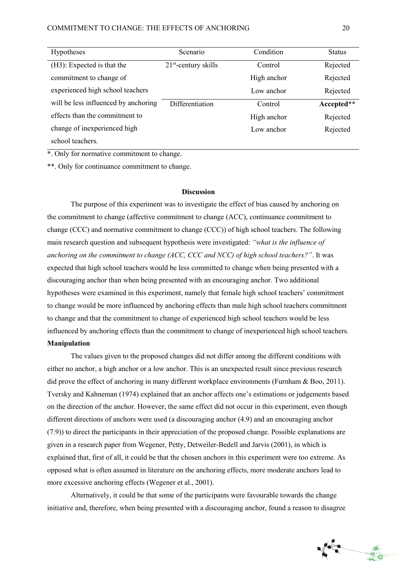| <b>Hypotheses</b>                    | Scenario               | Condition   | <b>Status</b> |
|--------------------------------------|------------------------|-------------|---------------|
| (H3): Expected is that the           | $21st$ -century skills | Control     | Rejected      |
| commitment to change of              |                        | High anchor | Rejected      |
| experienced high school teachers     |                        | Low anchor  | Rejected      |
| will be less influenced by anchoring | Differentiation        | Control     | Accepted**    |
| effects than the commitment to       |                        | High anchor | Rejected      |
| change of inexperienced high         |                        | Low anchor  | Rejected      |
| school teachers.                     |                        |             |               |

**\***. Only for normative commitment to change.

\*\*. Only for continuance commitment to change.

#### **Discussion**

The purpose of this experiment was to investigate the effect of bias caused by anchoring on the commitment to change (affective commitment to change (ACC), continuance commitment to change (CCC) and normative commitment to change (CCC)) of high school teachers. The following main research question and subsequent hypothesis were investigated: *"what is the influence of anchoring on the commitment to change (ACC, CCC and NCC) of high school teachers?"*. It was expected that high school teachers would be less committed to change when being presented with a discouraging anchor than when being presented with an encouraging anchor. Two additional hypotheses were examined in this experiment, namely that female high school teachers' commitment to change would be more influenced by anchoring effects than male high school teachers commitment to change and that the commitment to change of experienced high school teachers would be less influenced by anchoring effects than the commitment to change of inexperienced high school teachers. **Manipulation** 

The values given to the proposed changes did not differ among the different conditions with either no anchor, a high anchor or a low anchor. This is an unexpected result since previous research did prove the effect of anchoring in many different workplace environments (Furnham & Boo, 2011). Tversky and Kahneman (1974) explained that an anchor affects one's estimations or judgements based on the direction of the anchor. However, the same effect did not occur in this experiment, even though different directions of anchors were used (a discouraging anchor (4.9) and an encouraging anchor (7.9)) to direct the participants in their appreciation of the proposed change. Possible explanations are given in a research paper from Wegener, Petty, Detweiler-Bedell and Jarvis (2001), in which is explained that, first of all, it could be that the chosen anchors in this experiment were too extreme. As opposed what is often assumed in literature on the anchoring effects, more moderate anchors lead to more excessive anchoring effects (Wegener et al., 2001).

Alternatively, it could be that some of the participants were favourable towards the change initiative and, therefore, when being presented with a discouraging anchor, found a reason to disagree

一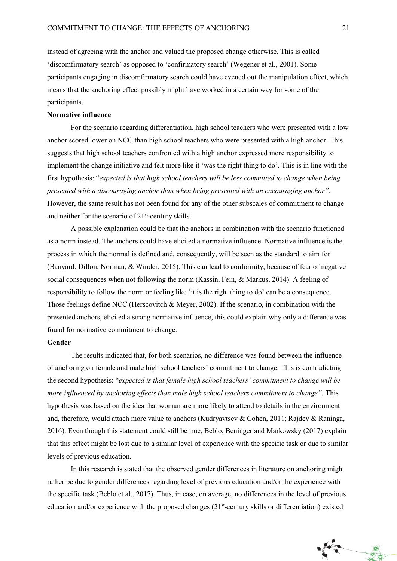instead of agreeing with the anchor and valued the proposed change otherwise. This is called 'discomfirmatory search' as opposed to 'confirmatory search' (Wegener et al., 2001). Some participants engaging in discomfirmatory search could have evened out the manipulation effect, which means that the anchoring effect possibly might have worked in a certain way for some of the participants.

#### **Normative influence**

For the scenario regarding differentiation, high school teachers who were presented with a low anchor scored lower on NCC than high school teachers who were presented with a high anchor. This suggests that high school teachers confronted with a high anchor expressed more responsibility to implement the change initiative and felt more like it 'was the right thing to do'. This is in line with the first hypothesis: "*expected is that high school teachers will be less committed to change when being presented with a discouraging anchor than when being presented with an encouraging anchor".*  However, the same result has not been found for any of the other subscales of commitment to change and neither for the scenario of  $21<sup>st</sup>$ -century skills.

A possible explanation could be that the anchors in combination with the scenario functioned as a norm instead. The anchors could have elicited a normative influence. Normative influence is the process in which the normal is defined and, consequently, will be seen as the standard to aim for (Banyard, Dillon, Norman, & Winder, 2015). This can lead to conformity, because of fear of negative social consequences when not following the norm (Kassin, Fein, & Markus, 2014). A feeling of responsibility to follow the norm or feeling like 'it is the right thing to do' can be a consequence. Those feelings define NCC (Herscovitch & Meyer, 2002). If the scenario, in combination with the presented anchors, elicited a strong normative influence, this could explain why only a difference was found for normative commitment to change.

#### **Gender**

The results indicated that, for both scenarios, no difference was found between the influence of anchoring on female and male high school teachers' commitment to change. This is contradicting the second hypothesis: "*expected is that female high school teachers' commitment to change will be more influenced by anchoring effects than male high school teachers commitment to change".* This hypothesis was based on the idea that woman are more likely to attend to details in the environment and, therefore, would attach more value to anchors (Kudryavtsev & Cohen, 2011; Rajdev & Raninga, 2016). Even though this statement could still be true, Beblo, Beninger and Markowsky (2017) explain that this effect might be lost due to a similar level of experience with the specific task or due to similar levels of previous education.

In this research is stated that the observed gender differences in literature on anchoring might rather be due to gender differences regarding level of previous education and/or the experience with the specific task (Beblo et al., 2017). Thus, in case, on average, no differences in the level of previous education and/or experience with the proposed changes (21<sup>st</sup>-century skills or differentiation) existed

Fra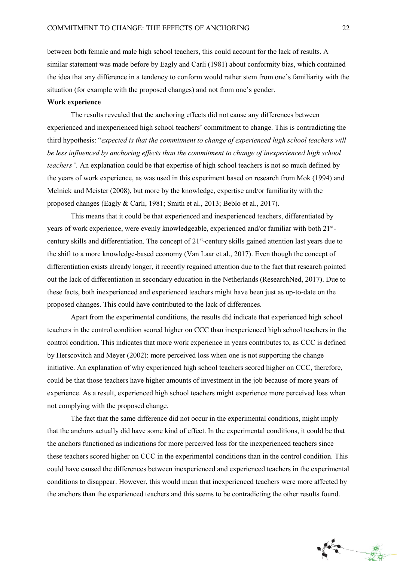between both female and male high school teachers, this could account for the lack of results. A similar statement was made before by Eagly and Carli (1981) about conformity bias, which contained the idea that any difference in a tendency to conform would rather stem from one's familiarity with the situation (for example with the proposed changes) and not from one's gender.

#### **Work experience**

The results revealed that the anchoring effects did not cause any differences between experienced and inexperienced high school teachers' commitment to change. This is contradicting the third hypothesis: "*expected is that the commitment to change of experienced high school teachers will be less influenced by anchoring effects than the commitment to change of inexperienced high school teachers".* An explanation could be that expertise of high school teachers is not so much defined by the years of work experience, as was used in this experiment based on research from Mok (1994) and Melnick and Meister (2008), but more by the knowledge, expertise and/or familiarity with the proposed changes (Eagly & Carli, 1981; Smith et al., 2013; Beblo et al., 2017).

This means that it could be that experienced and inexperienced teachers, differentiated by years of work experience, were evenly knowledgeable, experienced and/or familiar with both 21stcentury skills and differentiation. The concept of 21<sup>st</sup>-century skills gained attention last years due to the shift to a more knowledge-based economy (Van Laar et al., 2017). Even though the concept of differentiation exists already longer, it recently regained attention due to the fact that research pointed out the lack of differentiation in secondary education in the Netherlands (ResearchNed, 2017). Due to these facts, both inexperienced and experienced teachers might have been just as up-to-date on the proposed changes. This could have contributed to the lack of differences.

Apart from the experimental conditions, the results did indicate that experienced high school teachers in the control condition scored higher on CCC than inexperienced high school teachers in the control condition. This indicates that more work experience in years contributes to, as CCC is defined by Herscovitch and Meyer (2002): more perceived loss when one is not supporting the change initiative. An explanation of why experienced high school teachers scored higher on CCC, therefore, could be that those teachers have higher amounts of investment in the job because of more years of experience. As a result, experienced high school teachers might experience more perceived loss when not complying with the proposed change.

The fact that the same difference did not occur in the experimental conditions, might imply that the anchors actually did have some kind of effect. In the experimental conditions, it could be that the anchors functioned as indications for more perceived loss for the inexperienced teachers since these teachers scored higher on CCC in the experimental conditions than in the control condition. This could have caused the differences between inexperienced and experienced teachers in the experimental conditions to disappear. However, this would mean that inexperienced teachers were more affected by the anchors than the experienced teachers and this seems to be contradicting the other results found.

A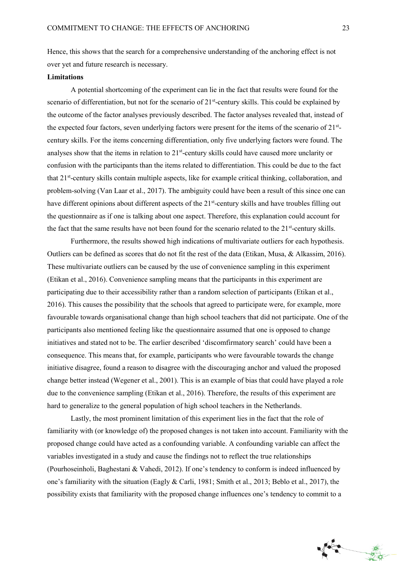Hence, this shows that the search for a comprehensive understanding of the anchoring effect is not over yet and future research is necessary.

#### **Limitations**

A potential shortcoming of the experiment can lie in the fact that results were found for the scenario of differentiation, but not for the scenario of 21<sup>st</sup>-century skills. This could be explained by the outcome of the factor analyses previously described. The factor analyses revealed that, instead of the expected four factors, seven underlying factors were present for the items of the scenario of 21stcentury skills. For the items concerning differentiation, only five underlying factors were found. The analyses show that the items in relation to 21<sup>st</sup>-century skills could have caused more unclarity or confusion with the participants than the items related to differentiation. This could be due to the fact that 21<sup>st</sup>-century skills contain multiple aspects, like for example critical thinking, collaboration, and problem-solving (Van Laar et al., 2017). The ambiguity could have been a result of this since one can have different opinions about different aspects of the 21<sup>st</sup>-century skills and have troubles filling out the questionnaire as if one is talking about one aspect. Therefore, this explanation could account for the fact that the same results have not been found for the scenario related to the  $21<sup>st</sup>$ -century skills.

Furthermore, the results showed high indications of multivariate outliers for each hypothesis. Outliers can be defined as scores that do not fit the rest of the data (Etikan, Musa, & Alkassim, 2016). These multivariate outliers can be caused by the use of convenience sampling in this experiment (Etikan et al., 2016). Convenience sampling means that the participants in this experiment are participating due to their accessibility rather than a random selection of participants (Etikan et al., 2016). This causes the possibility that the schools that agreed to participate were, for example, more favourable towards organisational change than high school teachers that did not participate. One of the participants also mentioned feeling like the questionnaire assumed that one is opposed to change initiatives and stated not to be. The earlier described 'discomfirmatory search' could have been a consequence. This means that, for example, participants who were favourable towards the change initiative disagree, found a reason to disagree with the discouraging anchor and valued the proposed change better instead (Wegener et al., 2001). This is an example of bias that could have played a role due to the convenience sampling (Etikan et al., 2016). Therefore, the results of this experiment are hard to generalize to the general population of high school teachers in the Netherlands.

Lastly, the most prominent limitation of this experiment lies in the fact that the role of familiarity with (or knowledge of) the proposed changes is not taken into account. Familiarity with the proposed change could have acted as a confounding variable. A confounding variable can affect the variables investigated in a study and cause the findings not to reflect the true relationships (Pourhoseinholi, Baghestani & Vahedi, 2012). If one's tendency to conform is indeed influenced by one's familiarity with the situation (Eagly & Carli, 1981; Smith et al., 2013; Beblo et al., 2017), the possibility exists that familiarity with the proposed change influences one's tendency to commit to a

美女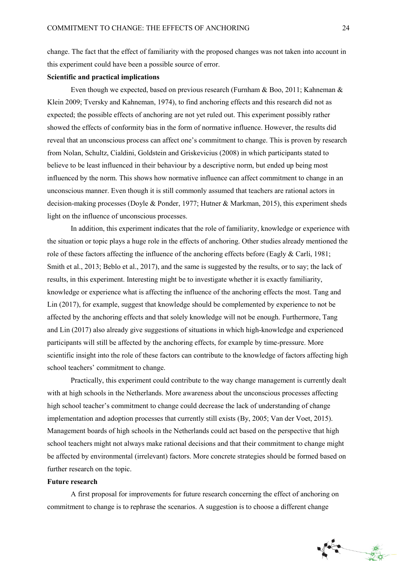change. The fact that the effect of familiarity with the proposed changes was not taken into account in this experiment could have been a possible source of error.

#### **Scientific and practical implications**

Even though we expected, based on previous research (Furnham & Boo, 2011; Kahneman & Klein 2009; Tversky and Kahneman, 1974), to find anchoring effects and this research did not as expected; the possible effects of anchoring are not yet ruled out. This experiment possibly rather showed the effects of conformity bias in the form of normative influence. However, the results did reveal that an unconscious process can affect one's commitment to change. This is proven by research from Nolan, Schultz, Cialdini, Goldstein and Griskevicius (2008) in which participants stated to believe to be least influenced in their behaviour by a descriptive norm, but ended up being most influenced by the norm. This shows how normative influence can affect commitment to change in an unconscious manner. Even though it is still commonly assumed that teachers are rational actors in decision-making processes (Doyle & Ponder, 1977; Hutner & Markman, 2015), this experiment sheds light on the influence of unconscious processes.

In addition, this experiment indicates that the role of familiarity, knowledge or experience with the situation or topic plays a huge role in the effects of anchoring. Other studies already mentioned the role of these factors affecting the influence of the anchoring effects before (Eagly & Carli, 1981; Smith et al., 2013; Beblo et al., 2017), and the same is suggested by the results, or to say; the lack of results, in this experiment. Interesting might be to investigate whether it is exactly familiarity, knowledge or experience what is affecting the influence of the anchoring effects the most. Tang and Lin (2017), for example, suggest that knowledge should be complemented by experience to not be affected by the anchoring effects and that solely knowledge will not be enough. Furthermore, Tang and Lin (2017) also already give suggestions of situations in which high-knowledge and experienced participants will still be affected by the anchoring effects, for example by time-pressure. More scientific insight into the role of these factors can contribute to the knowledge of factors affecting high school teachers' commitment to change.

Practically, this experiment could contribute to the way change management is currently dealt with at high schools in the Netherlands. More awareness about the unconscious processes affecting high school teacher's commitment to change could decrease the lack of understanding of change implementation and adoption processes that currently still exists (By, 2005; Van der Voet, 2015). Management boards of high schools in the Netherlands could act based on the perspective that high school teachers might not always make rational decisions and that their commitment to change might be affected by environmental (irrelevant) factors. More concrete strategies should be formed based on further research on the topic.

#### **Future research**

A first proposal for improvements for future research concerning the effect of anchoring on commitment to change is to rephrase the scenarios. A suggestion is to choose a different change

Fra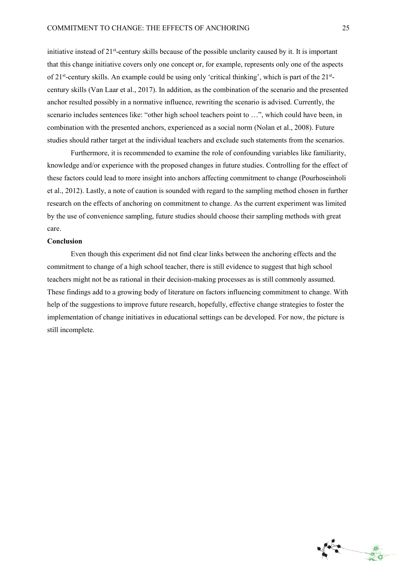initiative instead of 21<sup>st</sup>-century skills because of the possible unclarity caused by it. It is important that this change initiative covers only one concept or, for example, represents only one of the aspects of 21<sup>st</sup>-century skills. An example could be using only 'critical thinking', which is part of the 21<sup>st</sup>century skills (Van Laar et al., 2017). In addition, as the combination of the scenario and the presented anchor resulted possibly in a normative influence, rewriting the scenario is advised. Currently, the scenario includes sentences like: "other high school teachers point to …", which could have been, in combination with the presented anchors, experienced as a social norm (Nolan et al., 2008). Future studies should rather target at the individual teachers and exclude such statements from the scenarios.

Furthermore, it is recommended to examine the role of confounding variables like familiarity, knowledge and/or experience with the proposed changes in future studies. Controlling for the effect of these factors could lead to more insight into anchors affecting commitment to change (Pourhoseinholi et al., 2012). Lastly, a note of caution is sounded with regard to the sampling method chosen in further research on the effects of anchoring on commitment to change. As the current experiment was limited by the use of convenience sampling, future studies should choose their sampling methods with great care.

#### **Conclusion**

Even though this experiment did not find clear links between the anchoring effects and the commitment to change of a high school teacher, there is still evidence to suggest that high school teachers might not be as rational in their decision-making processes as is still commonly assumed. These findings add to a growing body of literature on factors influencing commitment to change. With help of the suggestions to improve future research, hopefully, effective change strategies to foster the implementation of change initiatives in educational settings can be developed. For now, the picture is still incomplete.

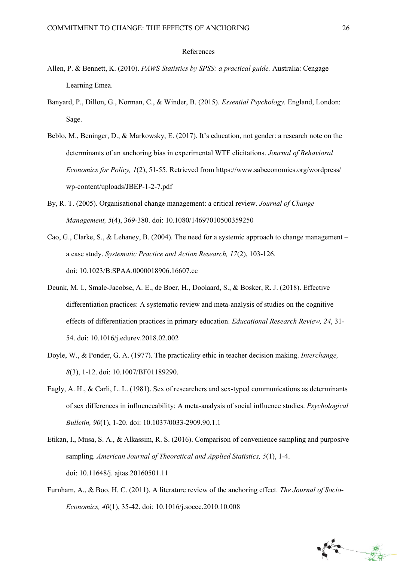#### References

- Allen, P. & Bennett, K. (2010). *PAWS Statistics by SPSS: a practical guide.* Australia: Cengage Learning Emea.
- Banyard, P., Dillon, G., Norman, C., & Winder, B. (2015). *Essential Psychology.* England, London: Sage.
- Beblo, M., Beninger, D., & Markowsky, E. (2017). It's education, not gender: a research note on the determinants of an anchoring bias in experimental WTF elicitations. *Journal of Behavioral Economics for Policy, 1*(2), 51-55. Retrieved from https://www.sabeconomics.org/wordpress/ wp-content/uploads/JBEP-1-2-7.pdf
- By, R. T. (2005). Organisational change management: a critical review. *Journal of Change Management, 5*(4), 369-380. doi: 10.1080/14697010500359250
- Cao, G., Clarke, S., & Lehaney, B. (2004). The need for a systemic approach to change management a case study. *Systematic Practice and Action Research, 17*(2), 103-126. doi: 10.1023/B:SPAA.0000018906.16607.cc
- Deunk, M. I., Smale-Jacobse, A. E., de Boer, H., Doolaard, S., & Bosker, R. J. (2018). Effective differentiation practices: A systematic review and meta-analysis of studies on the cognitive effects of differentiation practices in primary education. *Educational Research Review, 24*, 31- 54. doi: 10.1016/j.edurev.2018.02.002
- Doyle, W., & Ponder, G. A. (1977). The practicality ethic in teacher decision making. *Interchange, 8*(3), 1-12. doi: 10.1007/BF01189290.
- Eagly, A. H., & Carli, L. L. (1981). Sex of researchers and sex-typed communications as determinants of sex differences in influenceability: A meta-analysis of social influence studies. *Psychological Bulletin, 90*(1), 1-20. doi: 10.1037/0033-2909.90.1.1
- Etikan, I., Musa, S. A., & Alkassim, R. S. (2016). Comparison of convenience sampling and purposive sampling. *American Journal of Theoretical and Applied Statistics, 5*(1), 1-4. doi: 10.11648/j. ajtas.20160501.11
- Furnham, A., & Boo, H. C. (2011). A literature review of the anchoring effect. *The Journal of Socio-Economics, 40*(1), 35-42. doi: 10.1016/j.socec.2010.10.008

美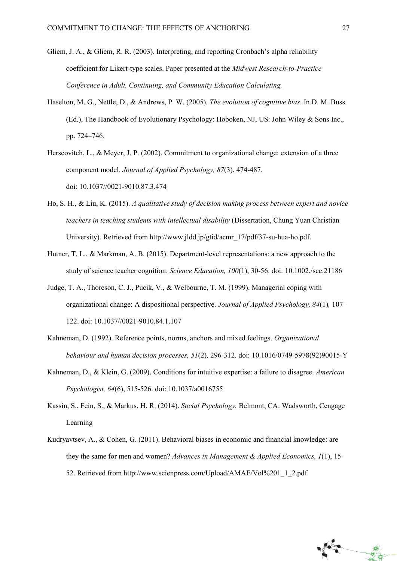- Gliem, J. A., & Gliem, R. R. (2003). Interpreting, and reporting Cronbach's alpha reliability coefficient for Likert-type scales. Paper presented at the *Midwest Research-to-Practice Conference in Adult, Continuing, and Community Education Calculating.*
- Haselton, M. G., Nettle, D., & Andrews, P. W. (2005). *The evolution of cognitive bias*. In D. M. Buss (Ed.), The Handbook of Evolutionary Psychology: Hoboken, NJ, US: John Wiley & Sons Inc., pp. 724–746.
- Herscovitch, L., & Meyer, J. P. (2002). Commitment to organizational change: extension of a three component model. *Journal of Applied Psychology, 87*(3), 474-487. doi: 10.1037//0021-9010.87.3.474
- Ho, S. H., & Liu, K. (2015). *A qualitative study of decision making process between expert and novice teachers in teaching students with intellectual disability* (Dissertation, Chung Yuan Christian University). Retrieved from http://www.jldd.jp/gtid/acmr\_17/pdf/37-su-hua-ho.pdf.
- Hutner, T. L., & Markman, A. B. (2015). Department-level representations: a new approach to the study of science teacher cognition. *Science Education, 100*(1), 30-56. doi: 10.1002./sce.21186
- Judge, T. A., Thoreson, C. J., Pucik, V., & Welbourne, T. M. (1999). Managerial coping with organizational change: A dispositional perspective. *Journal of Applied Psychology, 84*(1)*,* 107– 122. doi: 10.1037//0021-9010.84.1.107
- Kahneman, D. (1992). Reference points, norms, anchors and mixed feelings. *Organizational behaviour and human decision processes, 51*(2)*,* 296-312. doi: 10.1016/0749-5978(92)90015-Y
- Kahneman, D., & Klein, G. (2009). Conditions for intuitive expertise: a failure to disagree. *American Psychologist, 64*(6), 515-526. doi: 10.1037/a0016755
- Kassin, S., Fein, S., & Markus, H. R. (2014). *Social Psychology.* Belmont, CA: Wadsworth, Cengage Learning
- Kudryavtsev, A., & Cohen, G. (2011). Behavioral biases in economic and financial knowledge: are they the same for men and women? *Advances in Management & Applied Economics, 1*(1), 15- 52. Retrieved from http://www.scienpress.com/Upload/AMAE/Vol%201\_1\_2.pdf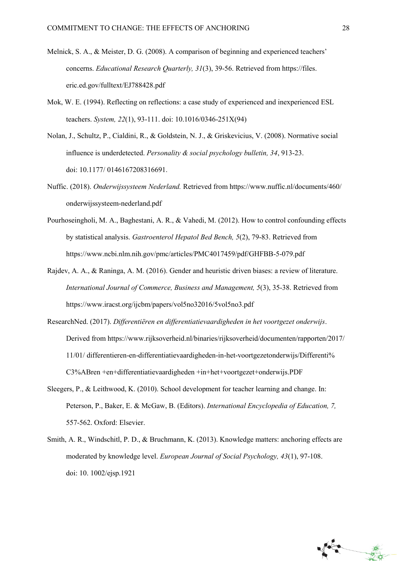- Melnick, S. A., & Meister, D. G. (2008). A comparison of beginning and experienced teachers' concerns. *Educational Research Quarterly, 31*(3), 39-56. Retrieved from https://files. eric.ed.gov/fulltext/EJ788428.pdf
- Mok, W. E. (1994). Reflecting on reflections: a case study of experienced and inexperienced ESL teachers. *System, 22*(1), 93-111. doi: 10.1016/0346-251X(94)
- Nolan, J., Schultz, P., Cialdini, R., & Goldstein, N. J., & Griskevicius, V. (2008). Normative social influence is underdetected. *Personality & social psychology bulletin, 34*, 913-23. doi: 10.1177/ 0146167208316691.
- Nuffic. (2018). *Onderwijssysteem Nederland.* Retrieved from https://www.nuffic.nl/documents/460/ onderwijssysteem-nederland.pdf
- Pourhoseingholi, M. A., Baghestani, A. R., & Vahedi, M. (2012). How to control confounding effects by statistical analysis. *Gastroenterol Hepatol Bed Bench, 5*(2), 79-83. Retrieved from https://www.ncbi.nlm.nih.gov/pmc/articles/PMC4017459/pdf/GHFBB-5-079.pdf
- Rajdev, A. A., & Raninga, A. M. (2016). Gender and heuristic driven biases: a review of literature. *International Journal of Commerce, Business and Management, 5*(3), 35-38. Retrieved from https://www.iracst.org/ijcbm/papers/vol5no32016/5vol5no3.pdf
- ResearchNed. (2017). *Differentiëren en differentiatievaardigheden in het voortgezet onderwijs*. Derived from https://www.rijksoverheid.nl/binaries/rijksoverheid/documenten/rapporten/2017/ 11/01/ differentieren-en-differentiatievaardigheden-in-het-voortgezetonderwijs/Differenti% C3%ABren +en+differentiatievaardigheden +in+het+voortgezet+onderwijs.PDF
- Sleegers, P., & Leithwood, K. (2010). School development for teacher learning and change. In: Peterson, P., Baker, E. & McGaw, B. (Editors). *International Encyclopedia of Education, 7,*  557-562. Oxford: Elsevier.
- Smith, A. R., Windschitl, P. D., & Bruchmann, K. (2013). Knowledge matters: anchoring effects are moderated by knowledge level. *European Journal of Social Psychology, 43*(1), 97-108. doi: 10. 1002/ejsp.1921

Jean

一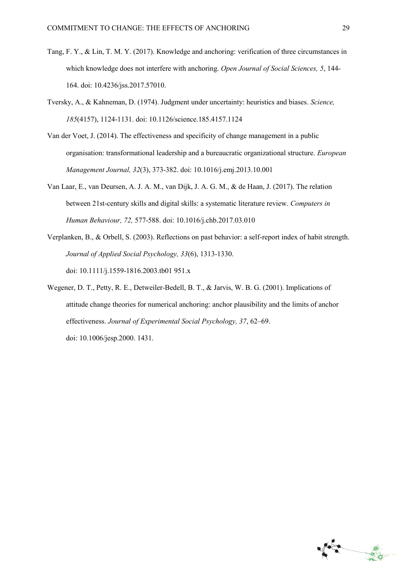- Tang, F. Y., & Lin, T. M. Y. (2017). Knowledge and anchoring: verification of three circumstances in which knowledge does not interfere with anchoring. *Open Journal of Social Sciences, 5*, 144- 164. doi: 10.4236/jss.2017.57010.
- Tversky, A., & Kahneman, D. (1974). Judgment under uncertainty: heuristics and biases. *Science, 185*(4157), 1124-1131. doi: 10.1126/science.185.4157.1124
- Van der Voet, J. (2014). The effectiveness and specificity of change management in a public organisation: transformational leadership and a bureaucratic organizational structure. *European Management Journal, 32*(3), 373-382. doi: 10.1016/j.emj.2013.10.001
- Van Laar, E., van Deursen, A. J. A. M., van Dijk, J. A. G. M., & de Haan, J. (2017). The relation between 21st-century skills and digital skills: a systematic literature review. *Computers in Human Behaviour, 72,* 577-588. doi: 10.1016/j.chb.2017.03.010
- Verplanken, B., & Orbell, S. (2003). Reflections on past behavior: a self-report index of habit strength. *Journal of Applied Social Psychology, 33*(6), 1313-1330. doi: 10.1111/j.1559-1816.2003.tb01 951.x
- Wegener, D. T., Petty, R. E., Detweiler-Bedell, B. T., & Jarvis, W. B. G. (2001). Implications of attitude change theories for numerical anchoring: anchor plausibility and the limits of anchor effectiveness. *Journal of Experimental Social Psychology, 37*, 62–69. doi: 10.1006/jesp.2000. 1431.

File

美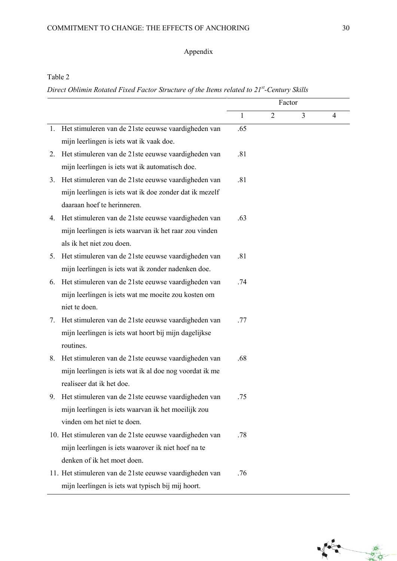## Appendix

## Table 2

*Direct Oblimin Rotated Fixed Factor Structure of the Items related to 21st -Century Skills*

|    |                                                         | Factor       |                |                |   |
|----|---------------------------------------------------------|--------------|----------------|----------------|---|
|    |                                                         | $\mathbf{1}$ | $\overline{2}$ | $\overline{3}$ | 4 |
| 1. | Het stimuleren van de 21ste eeuwse vaardigheden van     | .65          |                |                |   |
|    | mijn leerlingen is iets wat ik vaak doe.                |              |                |                |   |
| 2. | Het stimuleren van de 21ste eeuwse vaardigheden van     | .81          |                |                |   |
|    | mijn leerlingen is iets wat ik automatisch doe.         |              |                |                |   |
| 3. | Het stimuleren van de 21ste eeuwse vaardigheden van     | .81          |                |                |   |
|    | mijn leerlingen is iets wat ik doe zonder dat ik mezelf |              |                |                |   |
|    | daaraan hoef te herinneren.                             |              |                |                |   |
| 4. | Het stimuleren van de 21ste eeuwse vaardigheden van     | .63          |                |                |   |
|    | mijn leerlingen is iets waarvan ik het raar zou vinden  |              |                |                |   |
|    | als ik het niet zou doen.                               |              |                |                |   |
| 5. | Het stimuleren van de 21ste eeuwse vaardigheden van     | .81          |                |                |   |
|    | mijn leerlingen is iets wat ik zonder nadenken doe.     |              |                |                |   |
| 6. | Het stimuleren van de 21ste eeuwse vaardigheden van     | .74          |                |                |   |
|    | mijn leerlingen is iets wat me moeite zou kosten om     |              |                |                |   |
|    | niet te doen.                                           |              |                |                |   |
| 7. | Het stimuleren van de 21ste eeuwse vaardigheden van     | .77          |                |                |   |
|    | mijn leerlingen is iets wat hoort bij mijn dagelijkse   |              |                |                |   |
|    | routines.                                               |              |                |                |   |
| 8. | Het stimuleren van de 21ste eeuwse vaardigheden van     | .68          |                |                |   |
|    | mijn leerlingen is iets wat ik al doe nog voordat ik me |              |                |                |   |
|    | realiseer dat ik het doe.                               |              |                |                |   |
|    | 9. Het stimuleren van de 21ste eeuwse vaardigheden van  |              |                |                |   |
|    | mijn leerlingen is iets waarvan ik het moeilijk zou     |              |                |                |   |
|    | vinden om het niet te doen.                             |              |                |                |   |
|    | 10. Het stimuleren van de 21ste eeuwse vaardigheden van | .78          |                |                |   |
|    | mijn leerlingen is iets waarover ik niet hoef na te     |              |                |                |   |
|    | denken of ik het moet doen.                             |              |                |                |   |
|    | 11. Het stimuleren van de 21ste eeuwse vaardigheden van | .76          |                |                |   |
|    | mijn leerlingen is iets wat typisch bij mij hoort.      |              |                |                |   |

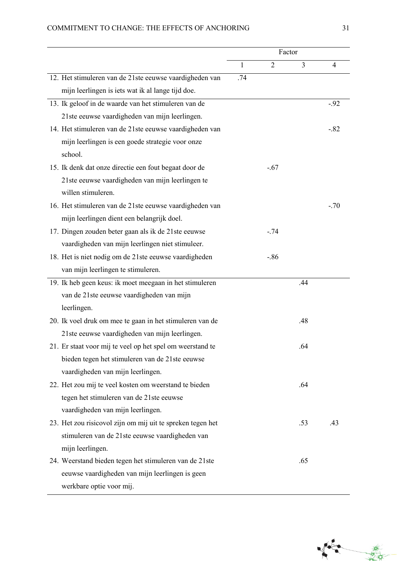# COMMITMENT TO CHANGE: THE EFFECTS OF ANCHORING 31

|                                                            | Factor |                |                |        |
|------------------------------------------------------------|--------|----------------|----------------|--------|
|                                                            | 1      | $\overline{2}$ | $\overline{3}$ | 4      |
| 12. Het stimuleren van de 21ste eeuwse vaardigheden van    | .74    |                |                |        |
| mijn leerlingen is iets wat ik al lange tijd doe.          |        |                |                |        |
| 13. Ik geloof in de waarde van het stimuleren van de       |        |                |                | $-.92$ |
| 21ste eeuwse vaardigheden van mijn leerlingen.             |        |                |                |        |
| 14. Het stimuleren van de 21ste eeuwse vaardigheden van    |        |                |                | $-.82$ |
| mijn leerlingen is een goede strategie voor onze           |        |                |                |        |
| school.                                                    |        |                |                |        |
| 15. Ik denk dat onze directie een fout begaat door de      |        | $-.67$         |                |        |
| 21ste eeuwse vaardigheden van mijn leerlingen te           |        |                |                |        |
| willen stimuleren.                                         |        |                |                |        |
| 16. Het stimuleren van de 21ste eeuwse vaardigheden van    |        |                |                | $-.70$ |
| mijn leerlingen dient een belangrijk doel.                 |        |                |                |        |
| 17. Dingen zouden beter gaan als ik de 21ste eeuwse        |        | $-.74$         |                |        |
| vaardigheden van mijn leerlingen niet stimuleer.           |        |                |                |        |
| 18. Het is niet nodig om de 21ste eeuwse vaardigheden      |        | $-86$          |                |        |
| van mijn leerlingen te stimuleren.                         |        |                |                |        |
| 19. Ik heb geen keus: ik moet meegaan in het stimuleren    |        |                | .44            |        |
| van de 21ste eeuwse vaardigheden van mijn                  |        |                |                |        |
| leerlingen.                                                |        |                |                |        |
| 20. Ik voel druk om mee te gaan in het stimuleren van de   |        |                | .48            |        |
| 21ste eeuwse vaardigheden van mijn leerlingen.             |        |                |                |        |
| 21. Er staat voor mij te veel op het spel om weerstand te  |        |                | .64            |        |
| bieden tegen het stimuleren van de 21ste eeuwse            |        |                |                |        |
| vaardigheden van mijn leerlingen.                          |        |                |                |        |
| 22. Het zou mij te veel kosten om weerstand te bieden      |        |                | .64            |        |
| tegen het stimuleren van de 21ste eeuwse                   |        |                |                |        |
| vaardigheden van mijn leerlingen.                          |        |                |                |        |
| 23. Het zou risicovol zijn om mij uit te spreken tegen het |        |                | .53            | .43    |
| stimuleren van de 21ste eeuwse vaardigheden van            |        |                |                |        |
| mijn leerlingen.                                           |        |                |                |        |
| 24. Weerstand bieden tegen het stimuleren van de 21ste     |        |                | .65            |        |
| eeuwse vaardigheden van mijn leerlingen is geen            |        |                |                |        |
| werkbare optie voor mij.                                   |        |                |                |        |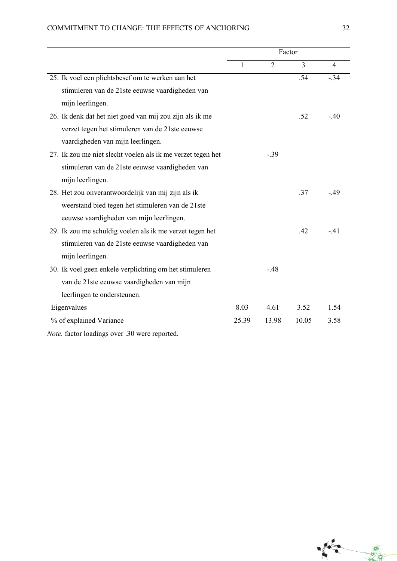## COMMITMENT TO CHANGE: THE EFFECTS OF ANCHORING 32

|                                                             | Factor |                |       |        |
|-------------------------------------------------------------|--------|----------------|-------|--------|
|                                                             | 1      | $\overline{2}$ | 3     | 4      |
| 25. Ik voel een plichtsbesef om te werken aan het           |        |                | .54   | $-.34$ |
| stimuleren van de 21ste eeuwse vaardigheden van             |        |                |       |        |
| mijn leerlingen.                                            |        |                |       |        |
| 26. Ik denk dat het niet goed van mij zou zijn als ik me    |        |                | .52   | $-.40$ |
| verzet tegen het stimuleren van de 21ste eeuwse             |        |                |       |        |
| vaardigheden van mijn leerlingen.                           |        |                |       |        |
| 27. Ik zou me niet slecht voelen als ik me verzet tegen het |        | $-0.39$        |       |        |
| stimuleren van de 21ste eeuwse vaardigheden van             |        |                |       |        |
| mijn leerlingen.                                            |        |                |       |        |
| 28. Het zou onverantwoordelijk van mij zijn als ik          |        |                | .37   | $-.49$ |
| weerstand bied tegen het stimuleren van de 21ste            |        |                |       |        |
| eeuwse vaardigheden van mijn leerlingen.                    |        |                |       |        |
| 29. Ik zou me schuldig voelen als ik me verzet tegen het    |        |                | .42   | $-41$  |
| stimuleren van de 21ste eeuwse vaardigheden van             |        |                |       |        |
| mijn leerlingen.                                            |        |                |       |        |
| 30. Ik voel geen enkele verplichting om het stimuleren      |        | $-48$          |       |        |
| van de 21ste eeuwse vaardigheden van mijn                   |        |                |       |        |
| leerlingen te ondersteunen.                                 |        |                |       |        |
| Eigenvalues                                                 | 8.03   | 4.61           | 3.52  | 1.54   |
| % of explained Variance                                     | 25.39  | 13.98          | 10.05 | 3.58   |

*Note.* factor loadings over .30 were reported.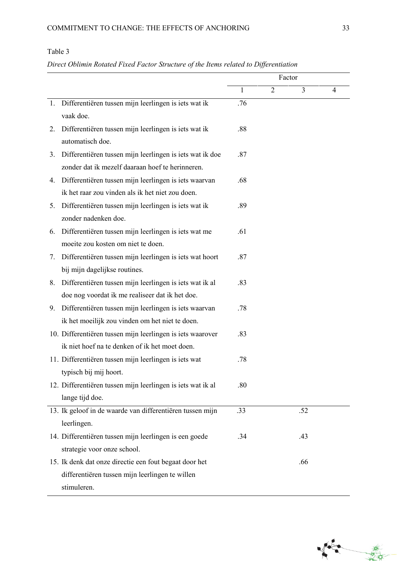# Table 3

## *Direct Oblimin Rotated Fixed Factor Structure of the Items related to Differentiation*

|    |                                                             | Factor |                |     |                |
|----|-------------------------------------------------------------|--------|----------------|-----|----------------|
|    |                                                             | 1      | $\overline{2}$ | 3   | $\overline{4}$ |
|    | 1. Differentiëren tussen mijn leerlingen is iets wat ik     | .76    |                |     |                |
|    | vaak doe.                                                   |        |                |     |                |
| 2. | Differentiëren tussen mijn leerlingen is iets wat ik        | .88    |                |     |                |
|    | automatisch doe.                                            |        |                |     |                |
| 3. | Differentiëren tussen mijn leerlingen is iets wat ik doe    | .87    |                |     |                |
|    | zonder dat ik mezelf daaraan hoef te herinneren.            |        |                |     |                |
| 4. | Differentiëren tussen mijn leerlingen is iets waarvan       | .68    |                |     |                |
|    | ik het raar zou vinden als ik het niet zou doen.            |        |                |     |                |
| 5. | Differentiëren tussen mijn leerlingen is iets wat ik        | .89    |                |     |                |
|    | zonder nadenken doe.                                        |        |                |     |                |
| 6. | Differentiëren tussen mijn leerlingen is iets wat me        | .61    |                |     |                |
|    | moeite zou kosten om niet te doen.                          |        |                |     |                |
| 7. | Differentiëren tussen mijn leerlingen is iets wat hoort     | .87    |                |     |                |
|    | bij mijn dagelijkse routines.                               |        |                |     |                |
| 8. | Differentiëren tussen mijn leerlingen is iets wat ik al     | .83    |                |     |                |
|    | doe nog voordat ik me realiseer dat ik het doe.             |        |                |     |                |
|    | 9. Differentiëren tussen mijn leerlingen is iets waarvan    | .78    |                |     |                |
|    | ik het moeilijk zou vinden om het niet te doen.             |        |                |     |                |
|    | 10. Differentiëren tussen mijn leerlingen is iets waarover  | .83    |                |     |                |
|    | ik niet hoef na te denken of ik het moet doen.              |        |                |     |                |
|    | 11. Differentiëren tussen mijn leerlingen is iets wat       | .78    |                |     |                |
|    | typisch bij mij hoort.                                      |        |                |     |                |
|    | 12. Differentiëren tussen mijn leerlingen is iets wat ik al | .80    |                |     |                |
|    | lange tijd doe.                                             |        |                |     |                |
|    | 13. Ik geloof in de waarde van differentiëren tussen mijn   | .33    |                | .52 |                |
|    | leerlingen.                                                 |        |                |     |                |
|    | 14. Differentiëren tussen mijn leerlingen is een goede      | .34    |                | .43 |                |
|    | strategie voor onze school.                                 |        |                |     |                |
|    | 15. Ik denk dat onze directie een fout begaat door het      |        |                | .66 |                |
|    | differentiëren tussen mijn leerlingen te willen             |        |                |     |                |
|    | stimuleren.                                                 |        |                |     |                |